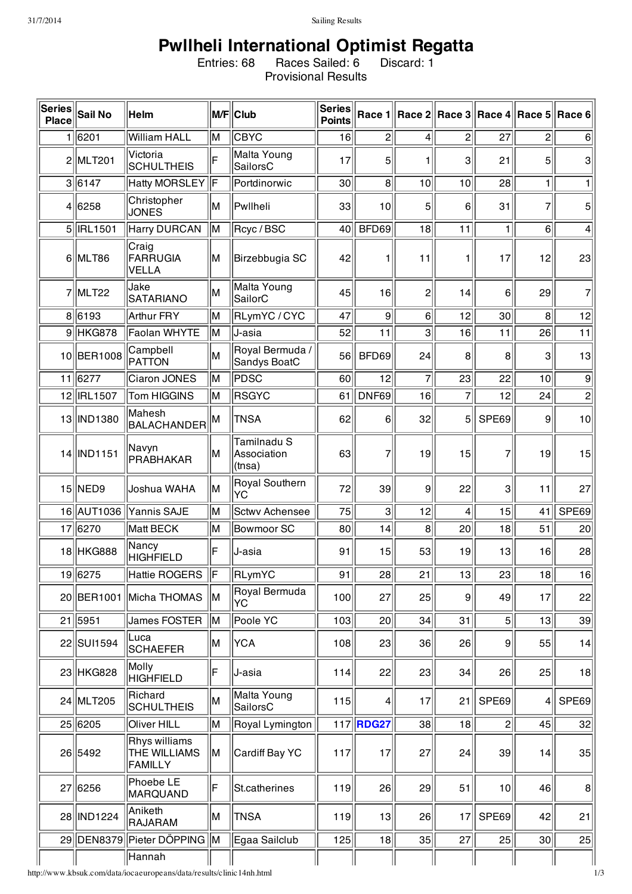## **Pwllheli International Optimist Regatta**

Entries: 68 Races Sailed: 6 Discard: 1 Provisional Results

| $\vert$ Series $\vert$<br>Place | <b>Sail No</b>    | Helm                                            |     | M/F Club                             | <b>Series</b><br><b>Points</b> | Race 1           |                 |                 | ∥Race 2∥Race 3∥Race 4∥Race 5∣ |                | Race 6           |
|---------------------------------|-------------------|-------------------------------------------------|-----|--------------------------------------|--------------------------------|------------------|-----------------|-----------------|-------------------------------|----------------|------------------|
|                                 | 1 6201            | William HALL                                    | lМ  | <b>CBYC</b>                          | 16                             | $\overline{c}$   | 4               | $\mathsf{2}$    | 27                            | $\overline{c}$ | 6                |
|                                 | 2 MLT201          | Victoria<br><b>SCHULTHEIS</b>                   | F   | Malta Young<br>SailorsC              | 17                             | 5                | 1               | 3               | 21                            | 5              | 3                |
|                                 | 3 6147            | Hatty MORSLEY F                                 |     | Portdinorwic                         | 30 <sup>2</sup>                | 8                | 10              | 10              | 28                            | 1              | 1                |
|                                 | 4 6258            | Christopher<br><b>JONES</b>                     | lМ  | Pwllheli                             | 33                             | 10               | 5               | 6               | 31                            | $\overline{7}$ | 5                |
|                                 | 5 <b>IRL1501</b>  | Harry DURCAN                                    | M   | Rcyc / BSC                           | 40 <sup>°</sup>                | BFD69            | 18              | 11              | $\mathbf{1}$                  | 6              | 4                |
|                                 | 6 MLT86           | Craig<br>FARRUGIA<br><b>VELLA</b>               | lМ  | Birzebbugia SC                       | 42                             |                  | 11              | 1               | 17                            | 12             | 23               |
|                                 | 7 MLT22           | Jake<br><b>SATARIANO</b>                        | lМ  | Malta Young<br>SailorC               | 45                             | 16               | $\overline{c}$  | 14              | 6                             | 29             | 7                |
|                                 | 8 6193            | Arthur FRY                                      | M   | RLymYC/CYC                           | 47                             | 9                | 6 <sup>1</sup>  | 12              | $30$                          | 8              | 12               |
|                                 | $9$ HKG878        | Faolan WHYTE                                    | IМ  | IJ-asia                              | 52                             | 11               | $\mathbf{3}$    | 16              | 11                            | 26             | 11               |
| 10                              | <b>BER1008</b>    | Campbell<br>PATTON                              | lм  | Royal Bermuda /<br>Sandys BoatC      | 56                             | BFD69            | 24              | 8 <sup>2</sup>  | 8                             | 3              | 13               |
|                                 | 11 6277           | Ciaron JONES                                    | İМ  | <b>PDSC</b>                          | 60                             | 12               | $\overline{7}$  | 23              | 22                            | 10             | $\boldsymbol{9}$ |
|                                 | 12 <b>IRL1507</b> | Tom HIGGINS                                     | İМ  | <b>RSGYC</b>                         | 61                             | DNF69            | 16              | $\overline{7}$  | 12                            | 24             | $\overline{2}$   |
| 13                              | IND1380           | Mahesh<br><b>BALACHANDER</b>                    | M   | <b>TNSA</b>                          | 62                             | 6                | 32              | 5               | SPE69                         | 9              | 10               |
|                                 | 14   IND1151      | Navyn<br>PRABHAKAR                              | lМ  | Tamilnadu S<br>Association<br>(tnsa) | 63                             |                  | 19              | 15              | 7                             | 19             | 15               |
|                                 | $15$  NED9        | Joshua WAHA                                     | lм  | Royal Southern<br> YC                | 72                             | 39               | 9               | 22              | 3                             | 11             | 27               |
|                                 |                   | 16 AUT1036 Yannis SAJE                          | lм  | Sctwy Achensee                       | 75                             | 3                | 12              | $\vert 4 \vert$ | 15                            | 41             | SPE69            |
|                                 | 17 6270           | Matt BECK                                       | lм  | Bowmoor SC                           | 80                             | 14               | $\bf{8}$        | 20              | 18                            | 51             | 20               |
|                                 | 18 HKG888         | Nancy<br><b>HIGHFIELD</b>                       | lF  | J-asia                               | 91                             | 15               | 53              | 19              | 13                            | 16             | 28               |
|                                 | 19 6275           | Hattie ROGERS <sup>F</sup>                      |     | RLymYC                               | 91                             | $\overline{28}$  | 21              | 13              | 23                            | 18             | 16               |
|                                 |                   | 20 BER1001 Micha THOMAS                         | ∥M  | Royal Bermuda<br> YC                 | 100                            | 27               | 25              | 9               | 49                            | 17             | 22               |
|                                 | 21 5951           | James FOSTER                                    | IМ  | Poole YC                             | 103                            | 20               | 34              | 31              | $5\vert$                      | 13             | 39               |
|                                 | 22 SUI1594        | Luca<br><b>SCHAEFER</b>                         | M   | YCA                                  | 108                            | 23               | 36              | 26              | 9                             | 55             | 14               |
|                                 | 23 HKG828         | Molly<br><b>HIGHFIELD</b>                       | lF. | ∣J-asia                              | 114                            | 22               | 23 <sup>2</sup> | 34              | 26                            | 25             | 18               |
|                                 | 24 MLT205         | Richard<br><b>SCHULTHEIS</b>                    | lм  | Malta Young<br>SailorsC              | 115                            | 4                | 17              | 21              | SPE69                         | 4              | SPE69            |
|                                 | 25 6205           | Oliver HILL                                     | M   | Royal Lymington                      |                                | 117 <b>RDG27</b> | 38              | 18              | 2                             | 45             | 32               |
|                                 | 26 5492           | Rhys williams<br><b>THE WILLIAMS</b><br>FAMILLY | M   | Cardiff Bay YC                       | 117                            | 17               | 27              | 24              | 39                            | 14             | 35               |
|                                 | 27 6256           | Phoebe LE<br><b>MARQUAND</b>                    | ΙF  | St.catherines                        | 119                            | 26               | 29              | 51              | 10                            | 46             | 8                |
|                                 | 28   IND1224      | Aniketh<br>RAJARAM                              | M   | <b>TNSA</b>                          | 119                            | 13               | 26              | 17              | SPE69                         | 42             | 21               |
|                                 |                   | 29 DEN8379 Pieter DÖPPING   M                   |     | Egaa Sailclub                        | 125                            | 18               | 35              | 27              | 25                            | 30             | 25               |
|                                 |                   | Hannah                                          |     |                                      |                                |                  |                 |                 |                               |                |                  |

http://www.kbsuk.com/data/iocaeuropeans/data/results/clinic14nh.html 113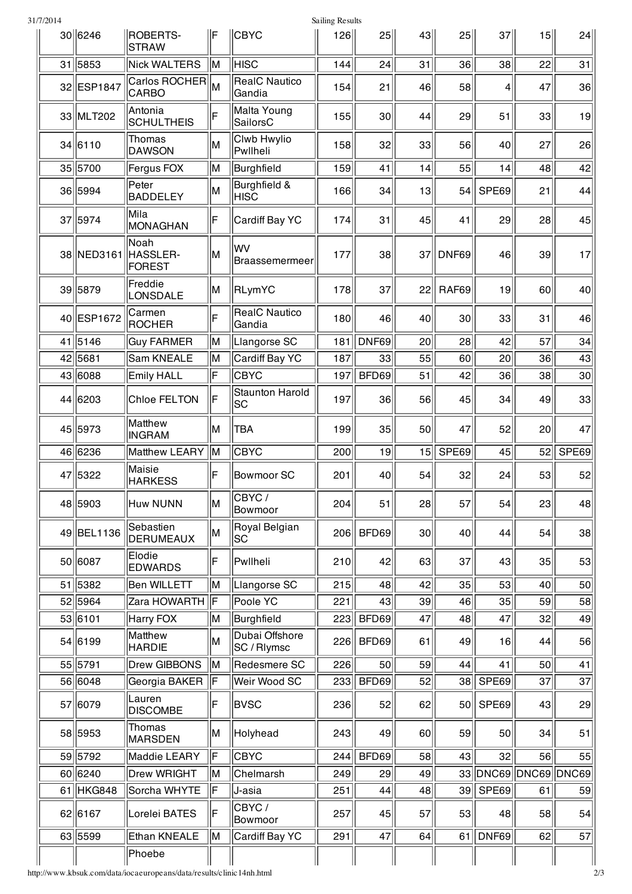| 31/7/2014 |            |                                   |    |                                | Sailing Results |       |    |       |                      |    |       |
|-----------|------------|-----------------------------------|----|--------------------------------|-----------------|-------|----|-------|----------------------|----|-------|
|           | 30 6246    | ROBERTS-<br><b>STRAW</b>          | IF | <b>CBYC</b>                    | 126             | 25    | 43 | 25    | $37$                 | 15 | 24    |
|           | $31$  5853 | Nick WALTERS                      | M  | <b>HISC</b>                    | 144             | 24    | 31 | 36    | 38                   | 22 | 31    |
|           | 32 ESP1847 | Carlos ROCHER<br>CARBO            | İМ | <b>RealC Nautico</b><br>Gandia | 154             | 21    | 46 | 58    | 4                    | 47 | 36    |
|           | 33 MLT202  | Antonia<br>SCHULTHEIS             | F  | Malta Young<br>SailorsC        | 155             | 30    | 44 | 29    | 51                   | 33 | 19    |
|           | 34 6110    | Thomas<br><b>DAWSON</b>           | lМ | Clwb Hwylio<br>Pwllheli        | 158             | 32    | 33 | 56    | 40                   | 27 | 26    |
|           | 35 5700    | Fergus FOX                        | M  | Burghfield                     | 159             | 41    | 14 | 55    | 14                   | 48 | 42    |
|           | 36 5994    | Peter<br><b>BADDELEY</b>          | lм | Burghfield &<br> HISC          | 166             | 34    | 13 | 54    | SPE69                | 21 | 44    |
|           | 37 5974    | Mila<br>MONAGHAN                  | ΙF | Cardiff Bay YC                 | 174             | 31    | 45 | 41    | 29                   | 28 | 45    |
|           | 38 NED3161 | Noah<br>HASSLER-<br><b>FOREST</b> | lМ | lwv<br>Braassemermeer          | 177             | 38    | 37 | DNF69 | 46                   | 39 | 17    |
|           | 39 5879    | Freddie<br>LONSDALE               | M  | RLymYC                         | 178             | 37    | 22 | RAF69 | 19                   | 60 | 40    |
|           | 40 ESP1672 | Carmen<br><b>ROCHER</b>           | ΙF | <b>RealC Nautico</b><br>Gandia | 180             | 46    | 40 | 30    | 33                   | 31 | 46    |
|           | 41 5146    | <b>Guy FARMER</b>                 | İМ | Llangorse SC                   | 181             | DNF69 | 20 | 28    | 42                   | 57 | 34    |
|           | 42 5681    | Sam KNEALE                        | İМ | Cardiff Bay YC                 | 187             | 33    | 55 | 60    | 20                   | 36 | 43    |
|           | 43 6088    | <b>Emily HALL</b>                 | F  | <b>CBYC</b>                    | 197             | BFD69 | 51 | 42    | 36                   | 38 | 30    |
|           | 44 6203    | <b>Chloe FELTON</b>               | ΙF | <b>Staunton Harold</b><br> SC  | 197             | 36    | 56 | 45    | 34                   | 49 | 33    |
|           | 45 5973    | Matthew<br><b>INGRAM</b>          | M  | <b>TBA</b>                     | 199             | 35    | 50 | 47    | 52                   | 20 | 47    |
|           | 46 6236    | Matthew LEARY                     | IМ | CBYC                           | 200             | 19    | 15 | SPE69 | 45                   | 52 | SPE69 |
|           | 47 5322    | Maisie<br><b>HARKESS</b>          | ΙF | Bowmoor SC                     | 201             | 40    | 54 | 32    | 24                   | 53 | 52    |
|           | 48 5903    | Huw NUNN                          | M  | CBYC/<br>Bowmoor               | 204             | 51    | 28 | 57    | 54                   | 23 | 48    |
|           | 49 BEL1136 | Sebastien<br>DERUMEAUX            | M  | Royal Belgian<br> SC           | 206             | BFD69 | 30 | 40    | 44                   | 54 | 38    |
|           | 50 6087    | Elodie<br><b>EDWARDS</b>          | F  | Pwllheli                       | 210             | 42    | 63 | 37    | 43                   | 35 | 53    |
|           | 51 5382    | Ben WILLETT                       | IМ | Llangorse SC                   | 215             | 48    | 42 | 35    | 53                   | 40 | 50    |
|           | 52 5964    | Zara HOWARTH                      | ∥F | Poole YC                       | 221             | 43    | 39 | 46    | 35                   | 59 | 58    |
|           | 53 6101    | Harry FOX                         | İМ | Burghfield                     | 223             | BFD69 | 47 | 48    | 47                   | 32 | 49    |
|           | 54 6199    | Matthew<br><b>HARDIE</b>          | lм | Dubai Offshore<br>SC / Rlymsc  | 226             | BFD69 | 61 | 49    | 16                   | 44 | 56    |
|           | 55 5791    | Drew GIBBONS                      | IМ | Redesmere SC                   | 226             | 50    | 59 | 44    | 41                   | 50 | 41    |
|           | 56 6048    | Georgia BAKER                     | F  | Weir Wood SC                   | 233             | BFD69 | 52 |       | 38 SPE69             | 37 | 37    |
|           | 57 6079    | Lauren<br><b>DISCOMBE</b>         | F  | <b>BVSC</b>                    | 236             | 52    | 62 | 50    | SPE69                | 43 | 29    |
|           | 58 5953    | Thomas<br>MARSDEN                 | M  | Holyhead                       | 243             | 49    | 60 | 59    | 50                   | 34 | 51    |
|           | 59 5792    | Maddie LEARY                      | F  | <b>CBYC</b>                    | 244             | BFD69 | 58 | 43    | 32                   | 56 | 55    |
|           | 60 6240    | Drew WRIGHT                       | IМ | Chelmarsh                      | 249             | 29    | 49 |       | 33 DNC69 DNC69 DNC69 |    |       |
|           | 61 HKG848  | Sorcha WHYTE                      | F  | J-asia                         | 251             | 44    | 48 | 39    | SPE69                | 61 | 59    |
|           | 62 6167    | Lorelei BATES                     | ΙF | CBYC/<br>Bowmoor               | 257             | 45    | 57 | 53    | 48                   | 58 | 54    |
|           | 63 5599    | Ethan KNEALE                      | M  | Cardiff Bay YC                 | 291             | 47    | 64 |       | $61$ DNF69           | 62 | 57    |
|           |            | Phoebe                            |    |                                |                 |       |    |       |                      |    |       |

http://www.kbsuk.com/data/iocaeuropeans/data/results/clinic14nh.html 2/3